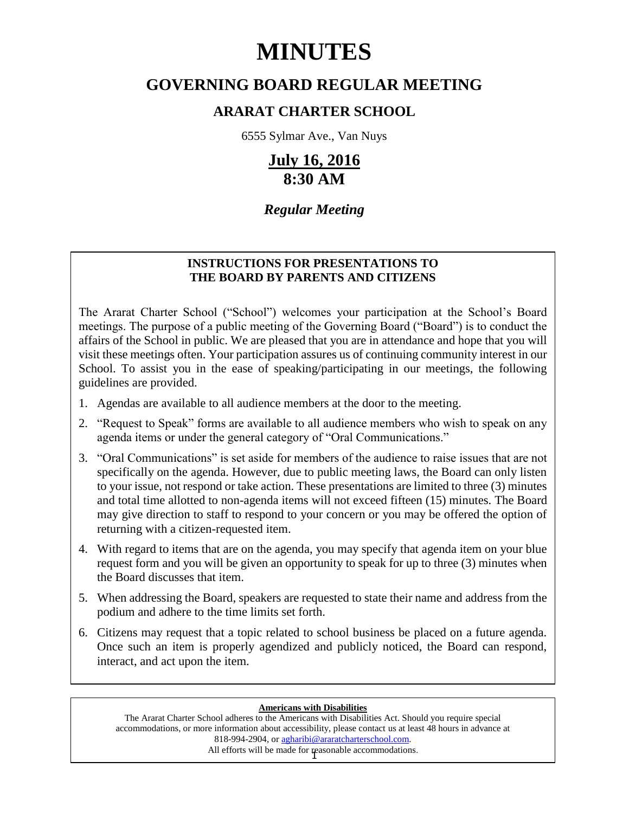# **MINUTES**

# **GOVERNING BOARD REGULAR MEETING**

# **ARARAT CHARTER SCHOOL**

6555 Sylmar Ave., Van Nuys

# **July 16, 2016 8:30 AM**

# *Regular Meeting*

# **INSTRUCTIONS FOR PRESENTATIONS TO THE BOARD BY PARENTS AND CITIZENS**

The Ararat Charter School ("School") welcomes your participation at the School's Board meetings. The purpose of a public meeting of the Governing Board ("Board") is to conduct the affairs of the School in public. We are pleased that you are in attendance and hope that you will visit these meetings often. Your participation assures us of continuing community interest in our School. To assist you in the ease of speaking/participating in our meetings, the following guidelines are provided.

- 1. Agendas are available to all audience members at the door to the meeting.
- 2. "Request to Speak" forms are available to all audience members who wish to speak on any agenda items or under the general category of "Oral Communications."
- 3. "Oral Communications" is set aside for members of the audience to raise issues that are not specifically on the agenda. However, due to public meeting laws, the Board can only listen to your issue, not respond or take action. These presentations are limited to three (3) minutes and total time allotted to non-agenda items will not exceed fifteen (15) minutes. The Board may give direction to staff to respond to your concern or you may be offered the option of returning with a citizen-requested item.
- 4. With regard to items that are on the agenda, you may specify that agenda item on your blue request form and you will be given an opportunity to speak for up to three (3) minutes when the Board discusses that item.
- 5. When addressing the Board, speakers are requested to state their name and address from the podium and adhere to the time limits set forth.
- 6. Citizens may request that a topic related to school business be placed on a future agenda. Once such an item is properly agendized and publicly noticed, the Board can respond, interact, and act upon the item.

#### **Americans with Disabilities**

All efforts will be made for reasonable accommodations. The Ararat Charter School adheres to the Americans with Disabilities Act. Should you require special accommodations, or more information about accessibility, please contact us at least 48 hours in advance at 818-994-2904, or agharibi@araratcharterschool.com.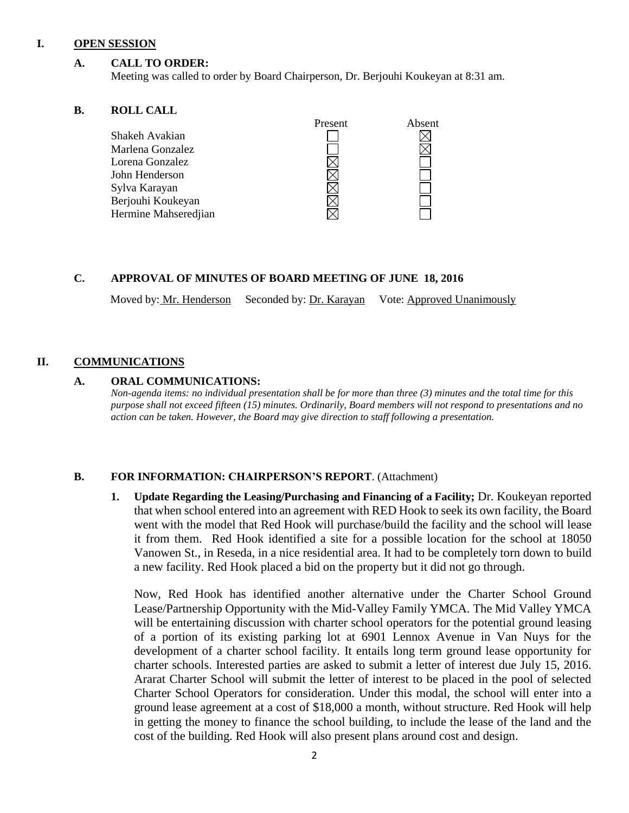#### **I. OPEN SESSION**

# **A. CALL TO ORDER:**

Meeting was called to order by Board Chairperson, Dr. Berjouhi Koukeyan at 8:31 am.

### **B. ROLL CALL**

|                      | Present | Absent |
|----------------------|---------|--------|
| Shakeh Avakian       |         |        |
| Marlena Gonzalez     |         |        |
| Lorena Gonzalez      |         |        |
| John Henderson       |         |        |
| Sylva Karayan        |         |        |
| Berjouhi Koukeyan    |         |        |
| Hermine Mahseredjian |         |        |

### **C. APPROVAL OF MINUTES OF BOARD MEETING OF JUNE 18, 2016**

Moved by: Mr. Henderson Seconded by: Dr. Karayan Vote: Approved Unanimously

# **II. COMMUNICATIONS**

# **A. ORAL COMMUNICATIONS:**

*Non-agenda items: no individual presentation shall be for more than three (3) minutes and the total time for this purpose shall not exceed fifteen (15) minutes. Ordinarily, Board members will not respond to presentations and no action can be taken. However, the Board may give direction to staff following a presentation.*

# **B. FOR INFORMATION: CHAIRPERSON'S REPORT**. (Attachment)

**1. Update Regarding the Leasing/Purchasing and Financing of a Facility;** Dr. Koukeyan reported that when school entered into an agreement with RED Hook to seek its own facility, the Board went with the model that Red Hook will purchase/build the facility and the school will lease it from them. Red Hook identified a site for a possible location for the school at 18050 Vanowen St., in Reseda, in a nice residential area. It had to be completely torn down to build a new facility. Red Hook placed a bid on the property but it did not go through.

Now, Red Hook has identified another alternative under the Charter School Ground Lease/Partnership Opportunity with the Mid-Valley Family YMCA. The Mid Valley YMCA will be entertaining discussion with charter school operators for the potential ground leasing of a portion of its existing parking lot at 6901 Lennox Avenue in Van Nuys for the development of a charter school facility. It entails long term ground lease opportunity for charter schools. Interested parties are asked to submit a letter of interest due July 15, 2016. Ararat Charter School will submit the letter of interest to be placed in the pool of selected Charter School Operators for consideration. Under this modal, the school will enter into a ground lease agreement at a cost of \$18,000 a month, without structure. Red Hook will help in getting the money to finance the school building, to include the lease of the land and the cost of the building. Red Hook will also present plans around cost and design.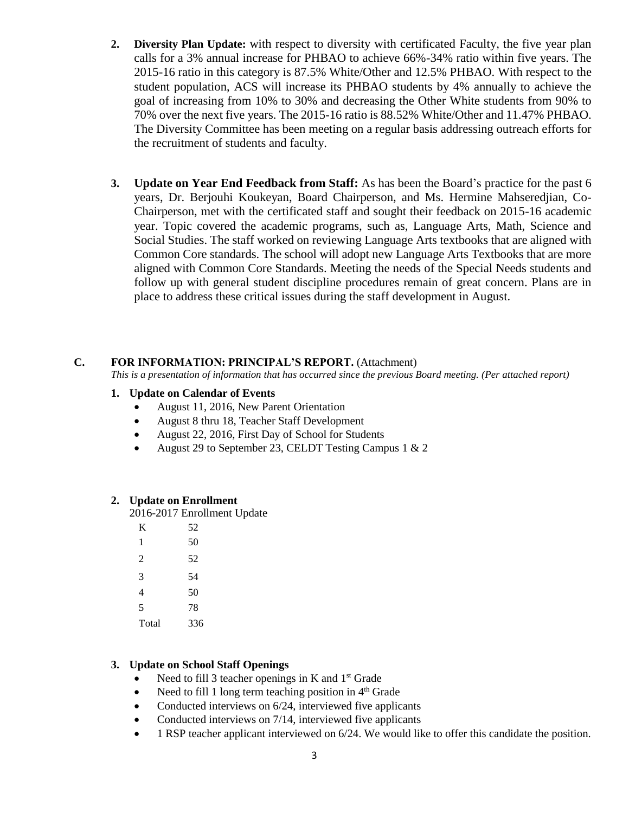- **2. Diversity Plan Update:** with respect to diversity with certificated Faculty, the five year plan calls for a 3% annual increase for PHBAO to achieve 66%-34% ratio within five years. The 2015-16 ratio in this category is 87.5% White/Other and 12.5% PHBAO. With respect to the student population, ACS will increase its PHBAO students by 4% annually to achieve the goal of increasing from 10% to 30% and decreasing the Other White students from 90% to 70% over the next five years. The 2015-16 ratio is 88.52% White/Other and 11.47% PHBAO. The Diversity Committee has been meeting on a regular basis addressing outreach efforts for the recruitment of students and faculty.
- **3. Update on Year End Feedback from Staff:** As has been the Board's practice for the past 6 years, Dr. Berjouhi Koukeyan, Board Chairperson, and Ms. Hermine Mahseredjian, Co-Chairperson, met with the certificated staff and sought their feedback on 2015-16 academic year. Topic covered the academic programs, such as, Language Arts, Math, Science and Social Studies. The staff worked on reviewing Language Arts textbooks that are aligned with Common Core standards. The school will adopt new Language Arts Textbooks that are more aligned with Common Core Standards. Meeting the needs of the Special Needs students and follow up with general student discipline procedures remain of great concern. Plans are in place to address these critical issues during the staff development in August.

# **C. FOR INFORMATION: PRINCIPAL'S REPORT.** (Attachment)

*This is a presentation of information that has occurred since the previous Board meeting. (Per attached report)*

# **1. Update on Calendar of Events**

- August 11, 2016, New Parent Orientation
- August 8 thru 18, Teacher Staff Development
- August 22, 2016, First Day of School for Students
- August 29 to September 23, CELDT Testing Campus 1 & 2

# **2. Update on Enrollment**

2016-2017 Enrollment Update

| K     | 52  |
|-------|-----|
| 1     | 50  |
| 2     | 52  |
| 3     | 54  |
| 4     | 50  |
| 5     | 78  |
| Total | 336 |

# **3. Update on School Staff Openings**

- Need to fill 3 teacher openings in K and  $1<sup>st</sup>$  Grade
- Need to fill 1 long term teaching position in  $4<sup>th</sup>$  Grade
- Conducted interviews on 6/24, interviewed five applicants
- Conducted interviews on 7/14, interviewed five applicants
- 1 RSP teacher applicant interviewed on 6/24. We would like to offer this candidate the position.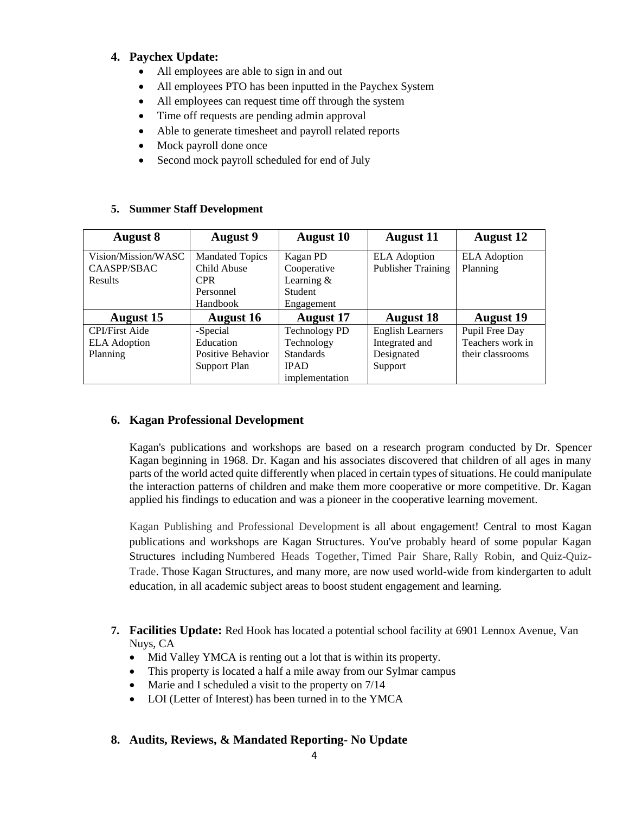# **4. Paychex Update:**

- All employees are able to sign in and out
- All employees PTO has been inputted in the Paychex System
- All employees can request time off through the system
- Time off requests are pending admin approval
- Able to generate timesheet and payroll related reports
- Mock payroll done once
- Second mock payroll scheduled for end of July

# **5. Summer Staff Development**

| August 8              | <b>August</b> 9        | <b>August 10</b>     | <b>August</b> 11          | <b>August</b> 12    |
|-----------------------|------------------------|----------------------|---------------------------|---------------------|
| Vision/Mission/WASC   | <b>Mandated Topics</b> | Kagan PD             | <b>ELA</b> Adoption       | <b>ELA</b> Adoption |
| CAASPP/SBAC           | Child Abuse            | Cooperative          | <b>Publisher Training</b> | Planning            |
| Results               | <b>CPR</b>             | Learning $&$         |                           |                     |
|                       | Personnel              | <b>Student</b>       |                           |                     |
|                       | Handbook               | Engagement           |                           |                     |
| <b>August 15</b>      | <b>August 16</b>       | <b>August</b> 17     | <b>August 18</b>          | <b>August</b> 19    |
| <b>CPI/First Aide</b> | -Special               | <b>Technology PD</b> | <b>English Learners</b>   | Pupil Free Day      |
| <b>ELA</b> Adoption   | Education              | Technology           | Integrated and            | Teachers work in    |
| Planning              | Positive Behavior      | <b>Standards</b>     | Designated                | their classrooms    |
|                       | Support Plan           | <b>IPAD</b>          | Support                   |                     |
|                       |                        | implementation       |                           |                     |

# **6. Kagan Professional Development**

Kagan's publications and workshops are based on a research program conducted by Dr. [Spencer](http://www.kaganonline.com/workshops/trainers/) [Kagan](http://www.kaganonline.com/workshops/trainers/) beginning in 1968. Dr. Kagan and his associates discovered that children of all ages in many parts of the world acted quite differently when placed in certain types of situations. He could manipulate the interaction patterns of children and make them more cooperative or more competitive. Dr. Kagan applied his findings to education and was a pioneer in the cooperative learning movement.

Kagan Publishing and Professional Development is all about engagement! Central to most Kagan publications and workshops are Kagan Structures. You've probably heard of some popular Kagan Structures including Numbered Heads Together, Timed Pair Share, Rally Robin, and Quiz-Quiz-Trade. Those Kagan Structures, and many more, are now used world-wide from kindergarten to adult education, in all academic subject areas to boost student engagement and learning.

- **7. Facilities Update:** Red Hook has located a potential school facility at 6901 Lennox Avenue, Van Nuys, CA
	- Mid Valley YMCA is renting out a lot that is within its property.
	- This property is located a half a mile away from our Sylmar campus
	- Marie and I scheduled a visit to the property on 7/14
	- LOI (Letter of Interest) has been turned in to the YMCA

# **8. Audits, Reviews, & Mandated Reporting- No Update**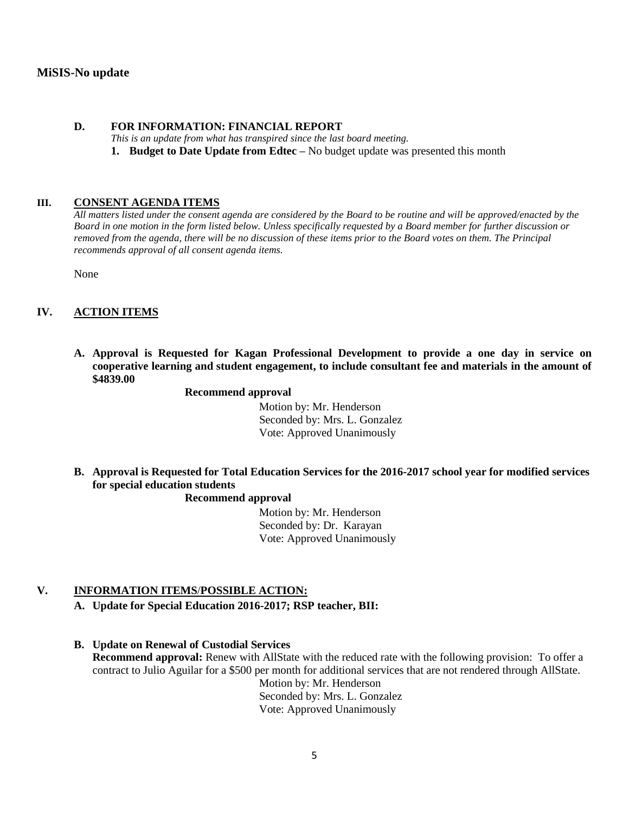# **MiSIS-No update**

### **D. FOR INFORMATION: FINANCIAL REPORT**

*This is an update from what has transpired since the last board meeting.*

**1. Budget to Date Update from Edtec –** No budget update was presented this month

#### **III. CONSENT AGENDA ITEMS**

*All matters listed under the consent agenda are considered by the Board to be routine and will be approved/enacted by the Board in one motion in the form listed below. Unless specifically requested by a Board member for further discussion or removed from the agenda, there will be no discussion of these items prior to the Board votes on them. The Principal recommends approval of all consent agenda items.*

None

# **IV. ACTION ITEMS**

**A. Approval is Requested for Kagan Professional Development to provide a one day in service on cooperative learning and student engagement, to include consultant fee and materials in the amount of \$4839.00**

#### **Recommend approval**

 Motion by: Mr. Henderson Seconded by: Mrs. L. Gonzalez Vote: Approved Unanimously

**B. Approval is Requested for Total Education Services for the 2016-2017 school year for modified services for special education students**

#### **Recommend approval**

 Motion by: Mr. Henderson Seconded by: Dr. Karayan Vote: Approved Unanimously

# **V. INFORMATION ITEMS**/**POSSIBLE ACTION:**

- **A. Update for Special Education 2016-2017; RSP teacher, BII:**
- **B. Update on Renewal of Custodial Services Recommend approval:** Renew with AllState with the reduced rate with the following provision: To offer a contract to Julio Aguilar for a \$500 per month for additional services that are not rendered through AllState. Motion by: Mr. Henderson Seconded by: Mrs. L. Gonzalez

Vote: Approved Unanimously